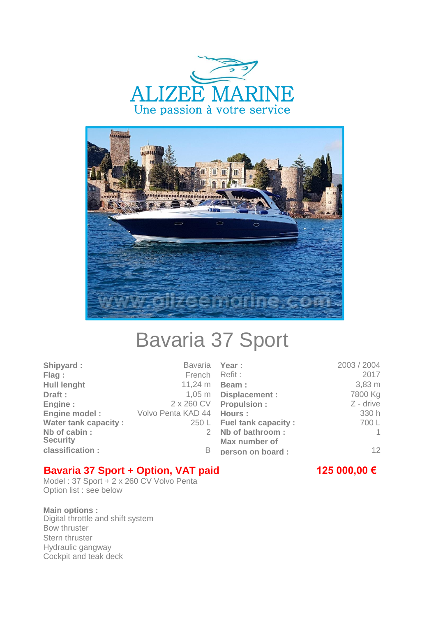



# Bavaria 37 Sport

| Shipyard:                   | <b>Bavaria</b>             | Year:                      | 2003 / 2004        |
|-----------------------------|----------------------------|----------------------------|--------------------|
| Flag:                       | French                     | Refit :                    | 2017               |
| <b>Hull lenght</b>          | $11,24 \text{ m}$          | Beam:                      | $3,83 \, \text{m}$ |
| Draft:                      |                            | 1,05 m Displacement :      | 7800 Kg            |
| Engine:                     |                            | 2 x 260 CV Propulsion :    | $Z$ - drive        |
| Engine model:               | Volvo Penta KAD 44 Hours : |                            | 330 h              |
| <b>Water tank capacity:</b> |                            | 250 L Fuel tank capacity : | 700L               |
| Nb of cabin:                | 2                          | Nb of bathroom:            | -1                 |
| <b>Security</b>             |                            | Max number of              |                    |
| classification :            | B                          | person on board :          | 12                 |

## **Bavaria 37 Sport + Option, VAT paid 125 000,00 €**

Model : 37 Sport + 2 x 260 CV Volvo Penta Option list : see below

**Main options :**

Digital throttle and shift system Bow thruster Stern thruster Hydraulic gangway Cockpit and teak deck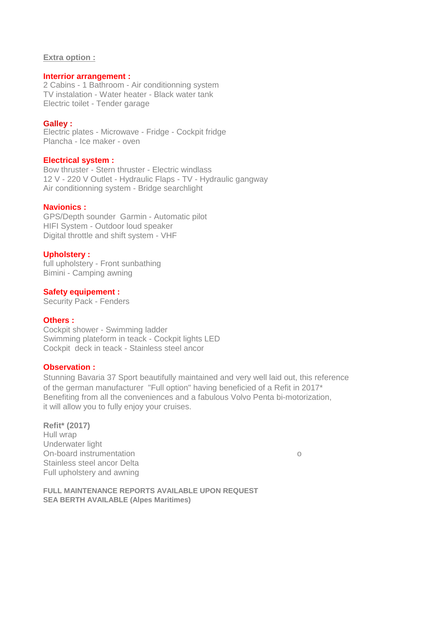#### **Extra option :**

#### **Interrior arrangement :**

2 Cabins - 1 Bathroom - Air conditionning system TV instalation - Water heater - Black water tank Electric toilet - Tender garage

#### **Galley :**

Electric plates - Microwave - Fridge - Cockpit fridge Plancha - Ice maker - oven

#### **Electrical system :**

Bow thruster - Stern thruster - Electric windlass 12 V - 220 V Outlet - Hydraulic Flaps - TV - Hydraulic gangway Air conditionning system - Bridge searchlight

#### **Navionics :**

GPS/Depth sounder Garmin - Automatic pilot HIFI System - Outdoor loud speaker Digital throttle and shift system - VHF

#### **Upholstery :**

full upholstery - Front sunbathing Bimini - Camping awning

#### **Safety equipement :**

Security Pack - Fenders

#### **Others :**

Cockpit shower - Swimming ladder Swimming plateform in teack - Cockpit lights LED Cockpit deck in teack - Stainless steel ancor

### **Observation :**

Stunning Bavaria 37 Sport beautifully maintained and very well laid out, this reference of the german manufacturer "Full option" having beneficied of a Refit in 2017\* Benefiting from all the conveniences and a fabulous Volvo Penta bi-motorization, it will allow you to fully enjoy your cruises.

#### **Refit\* (2017)** Hull wrap Underwater light On-board instrumentation o Stainless steel ancor Delta Full upholstery and awning

**FULL MAINTENANCE REPORTS AVAILABLE UPON REQUEST SEA BERTH AVAILABLE (Alpes Maritimes)**